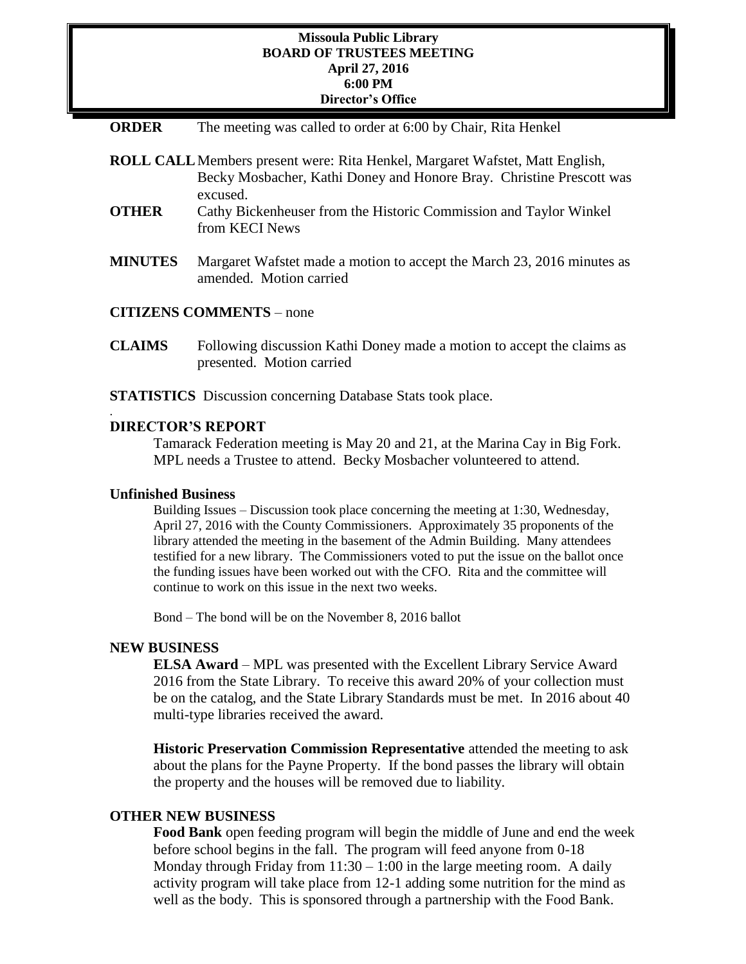### **Missoula Public Library BOARD OF TRUSTEES MEETING April 27, 2016 6:00 PM Director's Office**

| <b>ORDER</b> |  |  |  | The meeting was called to order at 6:00 by Chair, Rita Henkel |
|--------------|--|--|--|---------------------------------------------------------------|
|--------------|--|--|--|---------------------------------------------------------------|

|                | <b>ROLL CALL</b> Members present were: Rita Henkel, Margaret Wafstet, Matt English,<br>Becky Mosbacher, Kathi Doney and Honore Bray. Christine Prescott was<br>excused. |
|----------------|-------------------------------------------------------------------------------------------------------------------------------------------------------------------------|
| <b>OTHER</b>   | Cathy Bickenheuser from the Historic Commission and Taylor Winkel<br>from KECI News                                                                                     |
| <b>MINUTES</b> | Margaret Wafstet made a motion to accept the March 23, 2016 minutes as<br>amended. Motion carried                                                                       |

### **CITIZENS COMMENTS** – none

- **CLAIMS** Following discussion Kathi Doney made a motion to accept the claims as presented. Motion carried
- **STATISTICS** Discussion concerning Database Stats took place.

#### **DIRECTOR'S REPORT**

Tamarack Federation meeting is May 20 and 21, at the Marina Cay in Big Fork. MPL needs a Trustee to attend. Becky Mosbacher volunteered to attend.

#### **Unfinished Business**

.

Building Issues – Discussion took place concerning the meeting at 1:30, Wednesday, April 27, 2016 with the County Commissioners. Approximately 35 proponents of the library attended the meeting in the basement of the Admin Building. Many attendees testified for a new library. The Commissioners voted to put the issue on the ballot once the funding issues have been worked out with the CFO. Rita and the committee will continue to work on this issue in the next two weeks.

Bond – The bond will be on the November 8, 2016 ballot

### **NEW BUSINESS**

**ELSA Award** – MPL was presented with the Excellent Library Service Award 2016 from the State Library. To receive this award 20% of your collection must be on the catalog, and the State Library Standards must be met. In 2016 about 40 multi-type libraries received the award.

**Historic Preservation Commission Representative** attended the meeting to ask about the plans for the Payne Property. If the bond passes the library will obtain the property and the houses will be removed due to liability.

## **OTHER NEW BUSINESS**

**Food Bank** open feeding program will begin the middle of June and end the week before school begins in the fall. The program will feed anyone from 0-18 Monday through Friday from  $11:30 - 1:00$  in the large meeting room. A daily activity program will take place from 12-1 adding some nutrition for the mind as well as the body. This is sponsored through a partnership with the Food Bank.